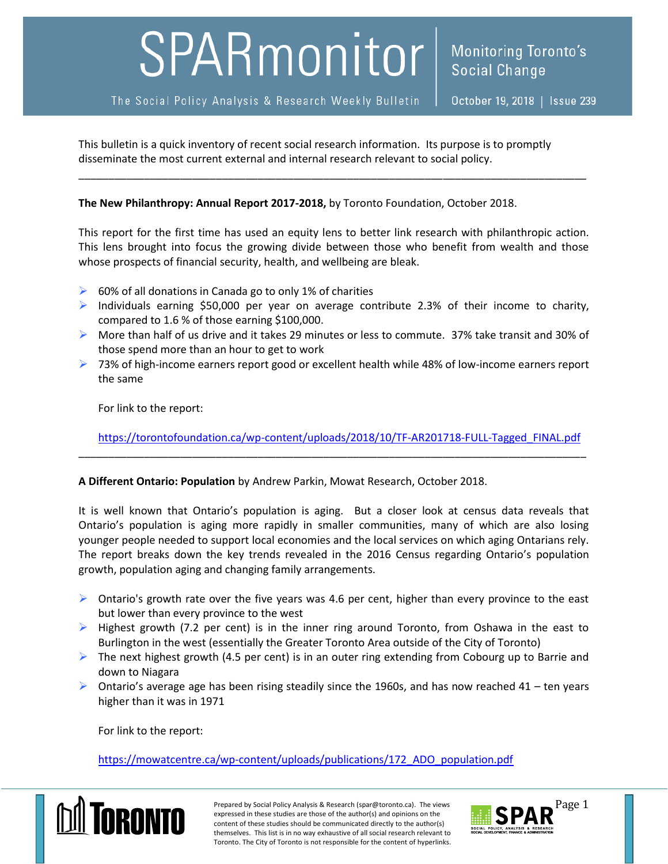# SPARmonitor

This bulletin is a quick inventory of recent social research information. Its purpose is to promptly disseminate the most current external and internal research relevant to social policy.

### **The New Philanthropy: Annual Report 2017-2018,** by Toronto Foundation, October 2018.

This report for the first time has used an equity lens to better link research with philanthropic action. This lens brought into focus the growing divide between those who benefit from wealth and those whose prospects of financial security, health, and wellbeing are bleak.

\_\_\_\_\_\_\_\_\_\_\_\_\_\_\_\_\_\_\_\_\_\_\_\_\_\_\_\_\_\_\_\_\_\_\_\_\_\_\_\_\_\_\_\_\_\_\_\_\_\_\_\_\_\_\_\_\_\_\_\_\_\_\_\_\_\_\_\_\_\_\_\_\_\_\_\_\_\_\_\_\_\_\_\_\_

- $\triangleright$  60% of all donations in Canada go to only 1% of charities
- $\triangleright$  Individuals earning \$50,000 per year on average contribute 2.3% of their income to charity, compared to 1.6 % of those earning \$100,000.
- More than half of us drive and it takes 29 minutes or less to commute. 37% take transit and 30% of those spend more than an hour to get to work
- $\triangleright$  73% of high-income earners report good or excellent health while 48% of low-income earners report the same

For link to the report:

[https://torontofoundation.ca/wp-content/uploads/2018/10/TF-AR201718-FULL-Tagged\\_FINAL.pdf](https://torontofoundation.ca/wp-content/uploads/2018/10/TF-AR201718-FULL-Tagged_FINAL.pdf)

\_\_\_\_\_\_\_\_\_\_\_\_\_\_\_\_\_\_\_\_\_\_\_\_\_\_\_\_\_\_\_\_\_\_\_\_\_\_\_\_\_\_\_\_\_\_\_\_\_\_\_\_\_\_\_\_\_\_\_\_\_\_\_\_\_\_\_\_\_\_\_\_\_\_\_\_\_\_\_\_\_\_\_\_\_

### **A Different Ontario: Population** by Andrew Parkin, Mowat Research, October 2018.

It is well known that Ontario's population is aging. But a closer look at census data reveals that Ontario's population is aging more rapidly in smaller communities, many of which are also losing younger people needed to support local economies and the local services on which aging Ontarians rely. The report breaks down the key trends revealed in the 2016 Census regarding Ontario's population growth, population aging and changing family arrangements.

- $\triangleright$  Ontario's growth rate over the five years was 4.6 per cent, higher than every province to the east but lower than every province to the west
- $\triangleright$  Highest growth (7.2 per cent) is in the inner ring around Toronto, from Oshawa in the east to Burlington in the west (essentially the Greater Toronto Area outside of the City of Toronto)
- $\triangleright$  The next highest growth (4.5 per cent) is in an outer ring extending from Cobourg up to Barrie and down to Niagara
- $\triangleright$  Ontario's average age has been rising steadily since the 1960s, and has now reached 41 ten years higher than it was in 1971

For link to the report:

[https://mowatcentre.ca/wp-content/uploads/publications/172\\_ADO\\_population.pdf](https://mowatcentre.ca/wp-content/uploads/publications/172_ADO_population.pdf)



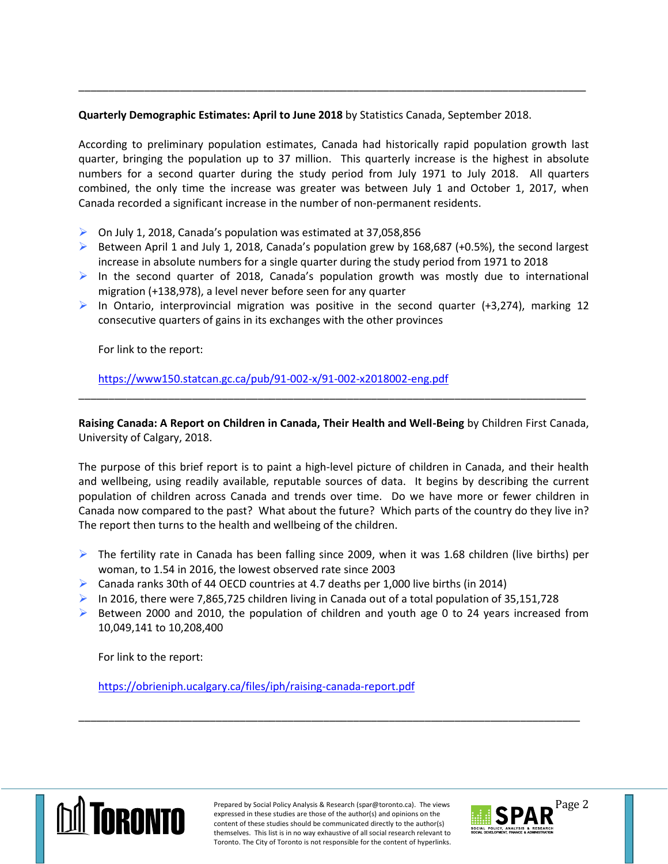## **Quarterly Demographic Estimates: April to June 2018** by Statistics Canada, September 2018.

According to preliminary population estimates, Canada had historically rapid population growth last quarter, bringing the population up to 37 million. This quarterly increase is the highest in absolute numbers for a second quarter during the study period from July 1971 to July 2018. All quarters combined, the only time the increase was greater was between July 1 and October 1, 2017, when Canada recorded a significant increase in the number of non-permanent residents.

\_\_\_\_\_\_\_\_\_\_\_\_\_\_\_\_\_\_\_\_\_\_\_\_\_\_\_\_\_\_\_\_\_\_\_\_\_\_\_\_\_\_\_\_\_\_\_\_\_\_\_\_\_\_\_\_\_\_\_\_\_\_\_\_\_\_\_\_\_\_\_\_\_\_\_\_\_\_\_\_\_\_\_\_\_

- On July 1, 2018, Canada's population was estimated at 37,058,856
- $\triangleright$  Between April 1 and July 1, 2018, Canada's population grew by 168,687 (+0.5%), the second largest increase in absolute numbers for a single quarter during the study period from 1971 to 2018
- In the second quarter of 2018, Canada's population growth was mostly due to international migration (+138,978), a level never before seen for any quarter
- In Ontario, interprovincial migration was positive in the second quarter (+3,274), marking 12 consecutive quarters of gains in its exchanges with the other provinces

For link to the report:

<https://www150.statcan.gc.ca/pub/91-002-x/91-002-x2018002-eng.pdf>

**Raising Canada: A Report on Children in Canada, Their Health and Well-Being** by Children First Canada, University of Calgary, 2018.

\_\_\_\_\_\_\_\_\_\_\_\_\_\_\_\_\_\_\_\_\_\_\_\_\_\_\_\_\_\_\_\_\_\_\_\_\_\_\_\_\_\_\_\_\_\_\_\_\_\_\_\_\_\_\_\_\_\_\_\_\_\_\_\_\_\_\_\_\_\_\_\_\_\_\_\_\_\_\_\_\_\_\_\_\_

The purpose of this brief report is to paint a high-level picture of children in Canada, and their health and wellbeing, using readily available, reputable sources of data. It begins by describing the current population of children across Canada and trends over time. Do we have more or fewer children in Canada now compared to the past? What about the future? Which parts of the country do they live in? The report then turns to the health and wellbeing of the children.

- $\triangleright$  The fertility rate in Canada has been falling since 2009, when it was 1.68 children (live births) per woman, to 1.54 in 2016, the lowest observed rate since 2003
- $\triangleright$  Canada ranks 30th of 44 OECD countries at 4.7 deaths per 1,000 live births (in 2014)
- In 2016, there were 7,865,725 children living in Canada out of a total population of 35,151,728
- $\triangleright$  Between 2000 and 2010, the population of children and youth age 0 to 24 years increased from 10,049,141 to 10,208,400

\_\_\_\_\_\_\_\_\_\_\_\_\_\_\_\_\_\_\_\_\_\_\_\_\_\_\_\_\_\_\_\_\_\_\_\_\_\_\_\_\_\_\_\_\_\_\_\_\_\_\_\_\_\_\_\_\_\_\_\_\_\_\_\_\_\_\_\_\_\_\_\_\_\_\_\_\_\_\_\_\_\_\_\_

For link to the report:

<https://obrieniph.ucalgary.ca/files/iph/raising-canada-report.pdf>



Prepared by Social Policy Analysis & Research (spar@toronto.ca). The views Page 2 expressed in these studies are those of the author(s) and opinions on the content of these studies should be communicated directly to the author(s) themselves. This list is in no way exhaustive of all social research relevant to Toronto. The City of Toronto is not responsible for the content of hyperlinks.